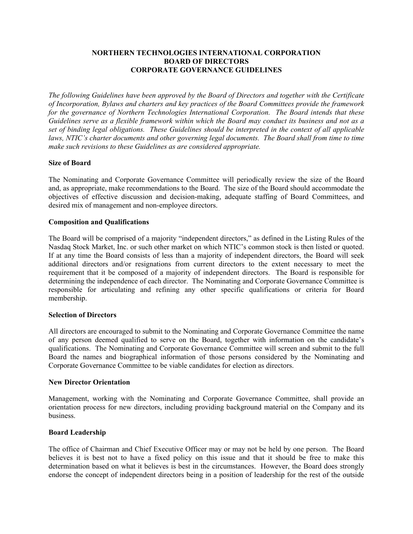# **NORTHERN TECHNOLOGIES INTERNATIONAL CORPORATION BOARD OF DIRECTORS CORPORATE GOVERNANCE GUIDELINES**

*The following Guidelines have been approved by the Board of Directors and together with the Certificate of Incorporation, Bylaws and charters and key practices of the Board Committees provide the framework for the governance of Northern Technologies International Corporation. The Board intends that these Guidelines serve as a flexible framework within which the Board may conduct its business and not as a set of binding legal obligations. These Guidelines should be interpreted in the context of all applicable*  laws, NTIC's charter documents and other governing legal documents. The Board shall from time to time *make such revisions to these Guidelines as are considered appropriate.*

# **Size of Board**

The Nominating and Corporate Governance Committee will periodically review the size of the Board and, as appropriate, make recommendations to the Board. The size of the Board should accommodate the objectives of effective discussion and decision-making, adequate staffing of Board Committees, and desired mix of management and non-employee directors.

# **Composition and Qualifications**

The Board will be comprised of a majority "independent directors," as defined in the Listing Rules of the Nasdaq Stock Market, Inc. or such other market on which NTIC's common stock is then listed or quoted. If at any time the Board consists of less than a majority of independent directors, the Board will seek additional directors and/or resignations from current directors to the extent necessary to meet the requirement that it be composed of a majority of independent directors. The Board is responsible for determining the independence of each director. The Nominating and Corporate Governance Committee is responsible for articulating and refining any other specific qualifications or criteria for Board membership.

# **Selection of Directors**

All directors are encouraged to submit to the Nominating and Corporate Governance Committee the name of any person deemed qualified to serve on the Board, together with information on the candidate's qualifications. The Nominating and Corporate Governance Committee will screen and submit to the full Board the names and biographical information of those persons considered by the Nominating and Corporate Governance Committee to be viable candidates for election as directors.

### **New Director Orientation**

Management, working with the Nominating and Corporate Governance Committee, shall provide an orientation process for new directors, including providing background material on the Company and its business.

# **Board Leadership**

The office of Chairman and Chief Executive Officer may or may not be held by one person. The Board believes it is best not to have a fixed policy on this issue and that it should be free to make this determination based on what it believes is best in the circumstances. However, the Board does strongly endorse the concept of independent directors being in a position of leadership for the rest of the outside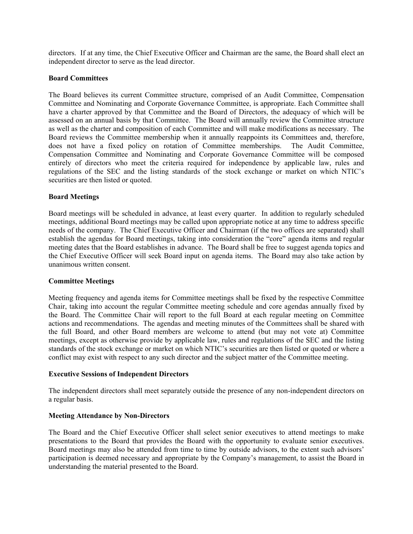directors. If at any time, the Chief Executive Officer and Chairman are the same, the Board shall elect an independent director to serve as the lead director.

## **Board Committees**

The Board believes its current Committee structure, comprised of an Audit Committee, Compensation Committee and Nominating and Corporate Governance Committee, is appropriate. Each Committee shall have a charter approved by that Committee and the Board of Directors, the adequacy of which will be assessed on an annual basis by that Committee. The Board will annually review the Committee structure as well as the charter and composition of each Committee and will make modifications as necessary. The Board reviews the Committee membership when it annually reappoints its Committees and, therefore, does not have a fixed policy on rotation of Committee memberships. The Audit Committee, Compensation Committee and Nominating and Corporate Governance Committee will be composed entirely of directors who meet the criteria required for independence by applicable law, rules and regulations of the SEC and the listing standards of the stock exchange or market on which NTIC's securities are then listed or quoted.

## **Board Meetings**

Board meetings will be scheduled in advance, at least every quarter. In addition to regularly scheduled meetings, additional Board meetings may be called upon appropriate notice at any time to address specific needs of the company. The Chief Executive Officer and Chairman (if the two offices are separated) shall establish the agendas for Board meetings, taking into consideration the "core" agenda items and regular meeting dates that the Board establishes in advance. The Board shall be free to suggest agenda topics and the Chief Executive Officer will seek Board input on agenda items. The Board may also take action by unanimous written consent.

### **Committee Meetings**

Meeting frequency and agenda items for Committee meetings shall be fixed by the respective Committee Chair, taking into account the regular Committee meeting schedule and core agendas annually fixed by the Board. The Committee Chair will report to the full Board at each regular meeting on Committee actions and recommendations. The agendas and meeting minutes of the Committees shall be shared with the full Board, and other Board members are welcome to attend (but may not vote at) Committee meetings, except as otherwise provide by applicable law, rules and regulations of the SEC and the listing standards of the stock exchange or market on which NTIC's securities are then listed or quoted or where a conflict may exist with respect to any such director and the subject matter of the Committee meeting.

### **Executive Sessions of Independent Directors**

The independent directors shall meet separately outside the presence of any non-independent directors on a regular basis.

## **Meeting Attendance by Non-Directors**

The Board and the Chief Executive Officer shall select senior executives to attend meetings to make presentations to the Board that provides the Board with the opportunity to evaluate senior executives. Board meetings may also be attended from time to time by outside advisors, to the extent such advisors' participation is deemed necessary and appropriate by the Company's management, to assist the Board in understanding the material presented to the Board.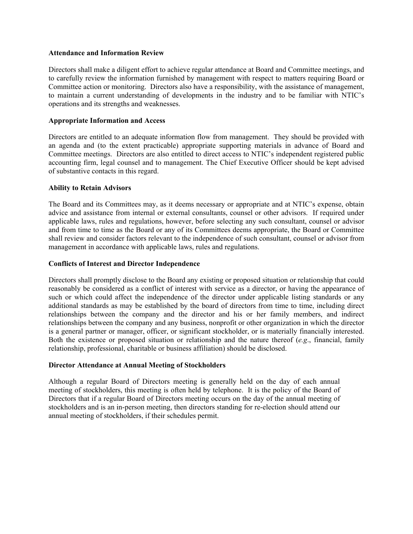### **Attendance and Information Review**

Directors shall make a diligent effort to achieve regular attendance at Board and Committee meetings, and to carefully review the information furnished by management with respect to matters requiring Board or Committee action or monitoring. Directors also have a responsibility, with the assistance of management, to maintain a current understanding of developments in the industry and to be familiar with NTIC's operations and its strengths and weaknesses.

# **Appropriate Information and Access**

Directors are entitled to an adequate information flow from management. They should be provided with an agenda and (to the extent practicable) appropriate supporting materials in advance of Board and Committee meetings. Directors are also entitled to direct access to NTIC's independent registered public accounting firm, legal counsel and to management. The Chief Executive Officer should be kept advised of substantive contacts in this regard.

# **Ability to Retain Advisors**

The Board and its Committees may, as it deems necessary or appropriate and at NTIC's expense, obtain advice and assistance from internal or external consultants, counsel or other advisors. If required under applicable laws, rules and regulations, however, before selecting any such consultant, counsel or advisor and from time to time as the Board or any of its Committees deems appropriate, the Board or Committee shall review and consider factors relevant to the independence of such consultant, counsel or advisor from management in accordance with applicable laws, rules and regulations.

# **Conflicts of Interest and Director Independence**

Directors shall promptly disclose to the Board any existing or proposed situation or relationship that could reasonably be considered as a conflict of interest with service as a director, or having the appearance of such or which could affect the independence of the director under applicable listing standards or any additional standards as may be established by the board of directors from time to time, including direct relationships between the company and the director and his or her family members, and indirect relationships between the company and any business, nonprofit or other organization in which the director is a general partner or manager, officer, or significant stockholder, or is materially financially interested. Both the existence or proposed situation or relationship and the nature thereof (*e.g*., financial, family relationship, professional, charitable or business affiliation) should be disclosed.

# **Director Attendance at Annual Meeting of Stockholders**

Although a regular Board of Directors meeting is generally held on the day of each annual meeting of stockholders, this meeting is often held by telephone. It is the policy of the Board of Directors that if a regular Board of Directors meeting occurs on the day of the annual meeting of stockholders and is an in-person meeting, then directors standing for re-election should attend our annual meeting of stockholders, if their schedules permit.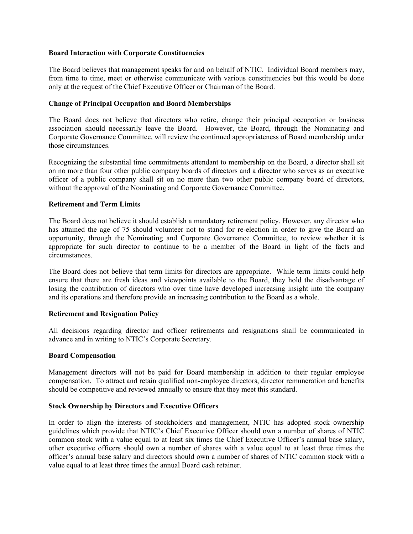### **Board Interaction with Corporate Constituencies**

The Board believes that management speaks for and on behalf of NTIC. Individual Board members may, from time to time, meet or otherwise communicate with various constituencies but this would be done only at the request of the Chief Executive Officer or Chairman of the Board.

## **Change of Principal Occupation and Board Memberships**

The Board does not believe that directors who retire, change their principal occupation or business association should necessarily leave the Board. However, the Board, through the Nominating and Corporate Governance Committee, will review the continued appropriateness of Board membership under those circumstances.

Recognizing the substantial time commitments attendant to membership on the Board, a director shall sit on no more than four other public company boards of directors and a director who serves as an executive officer of a public company shall sit on no more than two other public company board of directors, without the approval of the Nominating and Corporate Governance Committee.

## **Retirement and Term Limits**

The Board does not believe it should establish a mandatory retirement policy. However, any director who has attained the age of 75 should volunteer not to stand for re-election in order to give the Board an opportunity, through the Nominating and Corporate Governance Committee, to review whether it is appropriate for such director to continue to be a member of the Board in light of the facts and circumstances.

The Board does not believe that term limits for directors are appropriate. While term limits could help ensure that there are fresh ideas and viewpoints available to the Board, they hold the disadvantage of losing the contribution of directors who over time have developed increasing insight into the company and its operations and therefore provide an increasing contribution to the Board as a whole.

### **Retirement and Resignation Policy**

All decisions regarding director and officer retirements and resignations shall be communicated in advance and in writing to NTIC's Corporate Secretary.

# **Board Compensation**

Management directors will not be paid for Board membership in addition to their regular employee compensation. To attract and retain qualified non-employee directors, director remuneration and benefits should be competitive and reviewed annually to ensure that they meet this standard.

# **Stock Ownership by Directors and Executive Officers**

In order to align the interests of stockholders and management, NTIC has adopted stock ownership guidelines which provide that NTIC's Chief Executive Officer should own a number of shares of NTIC common stock with a value equal to at least six times the Chief Executive Officer's annual base salary, other executive officers should own a number of shares with a value equal to at least three times the officer's annual base salary and directors should own a number of shares of NTIC common stock with a value equal to at least three times the annual Board cash retainer.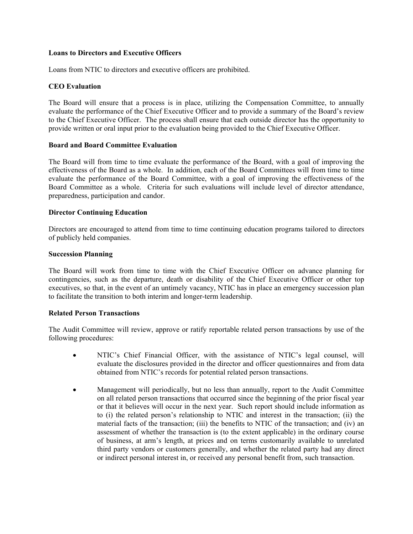## **Loans to Directors and Executive Officers**

Loans from NTIC to directors and executive officers are prohibited.

# **CEO Evaluation**

The Board will ensure that a process is in place, utilizing the Compensation Committee, to annually evaluate the performance of the Chief Executive Officer and to provide a summary of the Board's review to the Chief Executive Officer. The process shall ensure that each outside director has the opportunity to provide written or oral input prior to the evaluation being provided to the Chief Executive Officer.

## **Board and Board Committee Evaluation**

The Board will from time to time evaluate the performance of the Board, with a goal of improving the effectiveness of the Board as a whole. In addition, each of the Board Committees will from time to time evaluate the performance of the Board Committee, with a goal of improving the effectiveness of the Board Committee as a whole. Criteria for such evaluations will include level of director attendance, preparedness, participation and candor.

## **Director Continuing Education**

Directors are encouraged to attend from time to time continuing education programs tailored to directors of publicly held companies.

## **Succession Planning**

The Board will work from time to time with the Chief Executive Officer on advance planning for contingencies, such as the departure, death or disability of the Chief Executive Officer or other top executives, so that, in the event of an untimely vacancy, NTIC has in place an emergency succession plan to facilitate the transition to both interim and longer-term leadership.

### **Related Person Transactions**

The Audit Committee will review, approve or ratify reportable related person transactions by use of the following procedures:

- NTIC's Chief Financial Officer, with the assistance of NTIC's legal counsel, will evaluate the disclosures provided in the director and officer questionnaires and from data obtained from NTIC's records for potential related person transactions.
- Management will periodically, but no less than annually, report to the Audit Committee on all related person transactions that occurred since the beginning of the prior fiscal year or that it believes will occur in the next year. Such report should include information as to (i) the related person's relationship to NTIC and interest in the transaction; (ii) the material facts of the transaction; (iii) the benefits to NTIC of the transaction; and (iv) an assessment of whether the transaction is (to the extent applicable) in the ordinary course of business, at arm's length, at prices and on terms customarily available to unrelated third party vendors or customers generally, and whether the related party had any direct or indirect personal interest in, or received any personal benefit from, such transaction.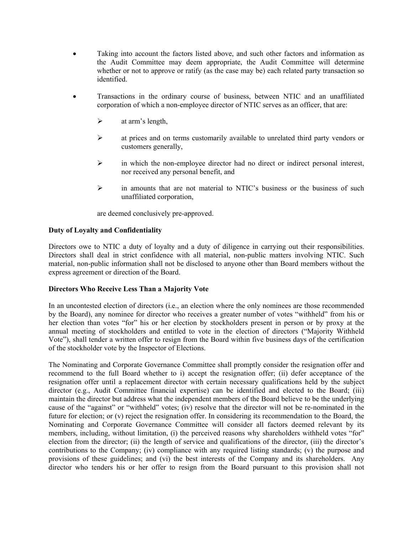- Taking into account the factors listed above, and such other factors and information as the Audit Committee may deem appropriate, the Audit Committee will determine whether or not to approve or ratify (as the case may be) each related party transaction so identified.
- Transactions in the ordinary course of business, between NTIC and an unaffiliated corporation of which a non-employee director of NTIC serves as an officer, that are:
	- $\triangleright$  at arm's length,
	- $\triangleright$  at prices and on terms customarily available to unrelated third party vendors or customers generally,
	- $\triangleright$  in which the non-employee director had no direct or indirect personal interest, nor received any personal benefit, and
	- $\triangleright$  in amounts that are not material to NTIC's business or the business of such unaffiliated corporation,

are deemed conclusively pre-approved.

# **Duty of Loyalty and Confidentiality**

Directors owe to NTIC a duty of loyalty and a duty of diligence in carrying out their responsibilities. Directors shall deal in strict confidence with all material, non-public matters involving NTIC. Such material, non-public information shall not be disclosed to anyone other than Board members without the express agreement or direction of the Board.

## **Directors Who Receive Less Than a Majority Vote**

In an uncontested election of directors (i.e., an election where the only nominees are those recommended by the Board), any nominee for director who receives a greater number of votes "withheld" from his or her election than votes "for" his or her election by stockholders present in person or by proxy at the annual meeting of stockholders and entitled to vote in the election of directors ("Majority Withheld Vote"), shall tender a written offer to resign from the Board within five business days of the certification of the stockholder vote by the Inspector of Elections.

The Nominating and Corporate Governance Committee shall promptly consider the resignation offer and recommend to the full Board whether to i) accept the resignation offer; (ii) defer acceptance of the resignation offer until a replacement director with certain necessary qualifications held by the subject director (e.g., Audit Committee financial expertise) can be identified and elected to the Board; (iii) maintain the director but address what the independent members of the Board believe to be the underlying cause of the "against" or "withheld" votes; (iv) resolve that the director will not be re-nominated in the future for election; or (v) reject the resignation offer. In considering its recommendation to the Board, the Nominating and Corporate Governance Committee will consider all factors deemed relevant by its members, including, without limitation, (i) the perceived reasons why shareholders withheld votes "for" election from the director; (ii) the length of service and qualifications of the director, (iii) the director's contributions to the Company; (iv) compliance with any required listing standards; (v) the purpose and provisions of these guidelines; and (vi) the best interests of the Company and its shareholders. Any director who tenders his or her offer to resign from the Board pursuant to this provision shall not